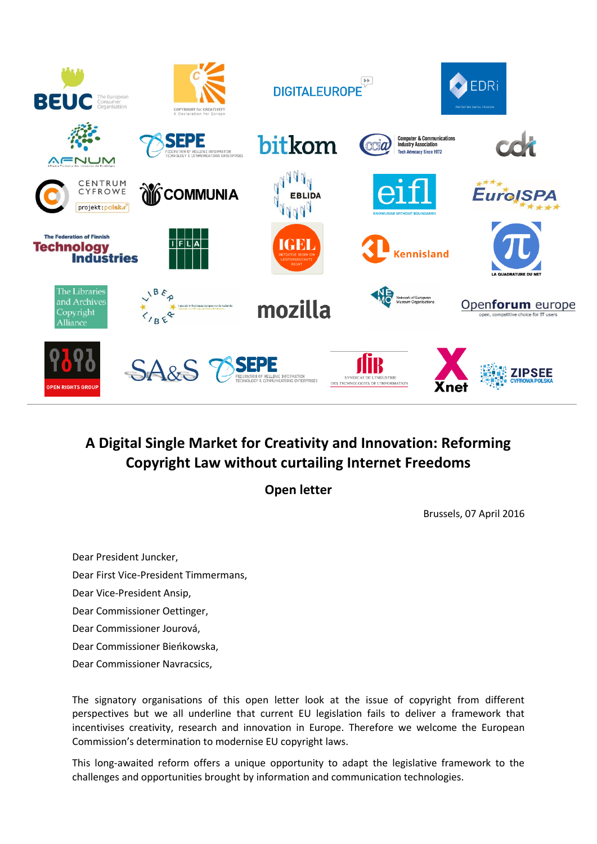

## **A Digital Single Market for Creativity and Innovation: Reforming Copyright Law without curtailing Internet Freedoms**

**Open letter** 

Brussels, 07 April 2016

Dear President Juncker, Dear First Vice-President Timmermans, Dear Vice-President Ansip, Dear Commissioner Oettinger, Dear Commissioner Jourová, Dear Commissioner Bieńkowska, Dear Commissioner Navracsics,

The signatory organisations of this open letter look at the issue of copyright from different perspectives but we all underline that current EU legislation fails to deliver a framework that incentivises creativity, research and innovation in Europe. Therefore we welcome the European Commission's determination to modernise EU copyright laws.

This long-awaited reform offers a unique opportunity to adapt the legislative framework to the challenges and opportunities brought by information and communication technologies.